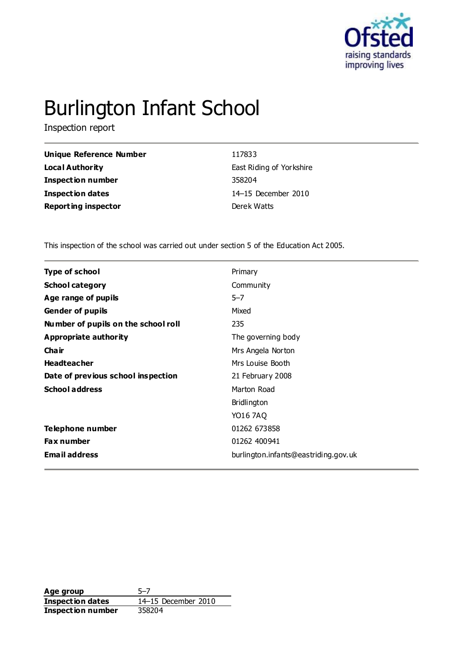

# Burlington Infant School

Inspection report

| <b>Unique Reference Number</b> | 117833                   |
|--------------------------------|--------------------------|
| Local Authority                | East Riding of Yorkshire |
| Inspection number              | 358204                   |
| Inspection dates               | 14-15 December 2010      |
| <b>Reporting inspector</b>     | Derek Watts              |
|                                |                          |

This inspection of the school was carried out under section 5 of the Education Act 2005.

| <b>Type of school</b><br>Primary<br><b>School category</b><br>Community<br>Age range of pupils<br>$5 - 7$<br>Mixed<br><b>Gender of pupils</b><br>Number of pupils on the school roll<br>235<br><b>Appropriate authority</b><br>The governing body<br>Cha ir<br>Mrs Angela Norton<br><b>Headteacher</b><br>Mrs Louise Booth<br>Date of previous school inspection<br>21 February 2008<br><b>School address</b><br>Marton Road<br>Bridlington<br>YO16 7AQ<br>Telephone number<br>01262 673858<br>01262 400941<br><b>Fax number</b><br><b>Email address</b><br>burlington.infants@eastriding.gov.uk |  |
|--------------------------------------------------------------------------------------------------------------------------------------------------------------------------------------------------------------------------------------------------------------------------------------------------------------------------------------------------------------------------------------------------------------------------------------------------------------------------------------------------------------------------------------------------------------------------------------------------|--|
|                                                                                                                                                                                                                                                                                                                                                                                                                                                                                                                                                                                                  |  |
|                                                                                                                                                                                                                                                                                                                                                                                                                                                                                                                                                                                                  |  |
|                                                                                                                                                                                                                                                                                                                                                                                                                                                                                                                                                                                                  |  |
|                                                                                                                                                                                                                                                                                                                                                                                                                                                                                                                                                                                                  |  |
|                                                                                                                                                                                                                                                                                                                                                                                                                                                                                                                                                                                                  |  |
|                                                                                                                                                                                                                                                                                                                                                                                                                                                                                                                                                                                                  |  |
|                                                                                                                                                                                                                                                                                                                                                                                                                                                                                                                                                                                                  |  |
|                                                                                                                                                                                                                                                                                                                                                                                                                                                                                                                                                                                                  |  |
|                                                                                                                                                                                                                                                                                                                                                                                                                                                                                                                                                                                                  |  |
|                                                                                                                                                                                                                                                                                                                                                                                                                                                                                                                                                                                                  |  |
|                                                                                                                                                                                                                                                                                                                                                                                                                                                                                                                                                                                                  |  |
|                                                                                                                                                                                                                                                                                                                                                                                                                                                                                                                                                                                                  |  |
|                                                                                                                                                                                                                                                                                                                                                                                                                                                                                                                                                                                                  |  |
|                                                                                                                                                                                                                                                                                                                                                                                                                                                                                                                                                                                                  |  |
|                                                                                                                                                                                                                                                                                                                                                                                                                                                                                                                                                                                                  |  |

**Age group** 5–7 **Inspection dates** 14–15 December 2010 **Inspection number** 358204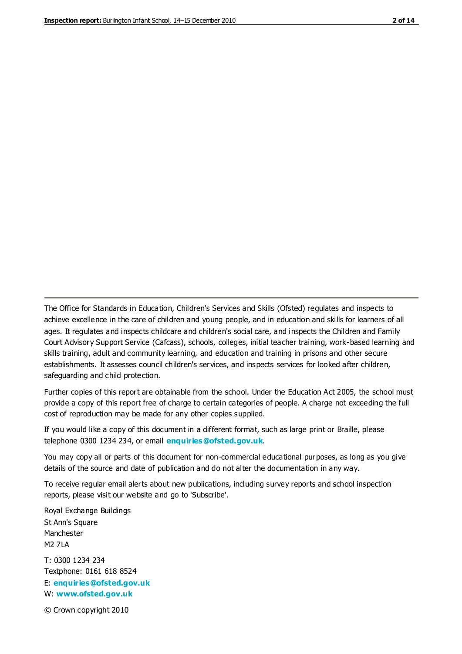The Office for Standards in Education, Children's Services and Skills (Ofsted) regulates and inspects to achieve excellence in the care of children and young people, and in education and skills for learners of all ages. It regulates and inspects childcare and children's social care, and inspects the Children and Family Court Advisory Support Service (Cafcass), schools, colleges, initial teacher training, work-based learning and skills training, adult and community learning, and education and training in prisons and other secure establishments. It assesses council children's services, and inspects services for looked after children, safeguarding and child protection.

Further copies of this report are obtainable from the school. Under the Education Act 2005, the school must provide a copy of this report free of charge to certain categories of people. A charge not exceeding the full cost of reproduction may be made for any other copies supplied.

If you would like a copy of this document in a different format, such as large print or Braille, please telephone 0300 1234 234, or email **[enquiries@ofsted.gov.uk](mailto:enquiries@ofsted.gov.uk)**.

You may copy all or parts of this document for non-commercial educational purposes, as long as you give details of the source and date of publication and do not alter the documentation in any way.

To receive regular email alerts about new publications, including survey reports and school inspection reports, please visit our website and go to 'Subscribe'.

Royal Exchange Buildings St Ann's Square Manchester M2 7LA T: 0300 1234 234 Textphone: 0161 618 8524 E: **[enquiries@ofsted.gov.uk](mailto:enquiries@ofsted.gov.uk)** W: **[www.ofsted.gov.uk](http://www.ofsted.gov.uk/)**

© Crown copyright 2010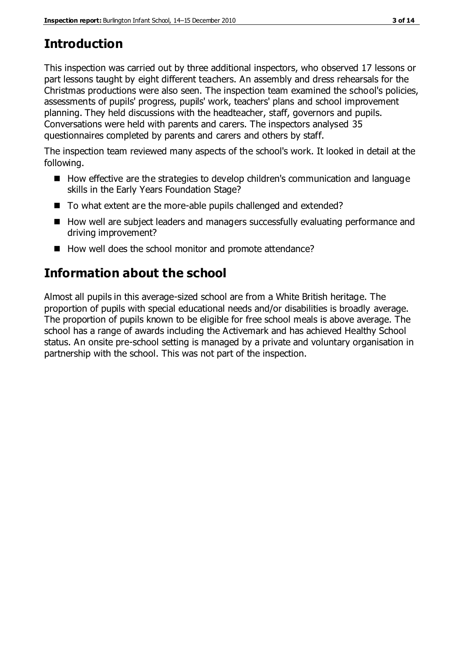# **Introduction**

This inspection was carried out by three additional inspectors, who observed 17 lessons or part lessons taught by eight different teachers. An assembly and dress rehearsals for the Christmas productions were also seen. The inspection team examined the school's policies, assessments of pupils' progress, pupils' work, teachers' plans and school improvement planning. They held discussions with the headteacher, staff, governors and pupils. Conversations were held with parents and carers. The inspectors analysed 35 questionnaires completed by parents and carers and others by staff.

The inspection team reviewed many aspects of the school's work. It looked in detail at the following.

- How effective are the strategies to develop children's communication and language skills in the Early Years Foundation Stage?
- To what extent are the more-able pupils challenged and extended?
- How well are subject leaders and managers successfully evaluating performance and driving improvement?
- How well does the school monitor and promote attendance?

# **Information about the school**

Almost all pupils in this average-sized school are from a White British heritage. The proportion of pupils with special educational needs and/or disabilities is broadly average. The proportion of pupils known to be eligible for free school meals is above average. The school has a range of awards including the Activemark and has achieved Healthy School status. An onsite pre-school setting is managed by a private and voluntary organisation in partnership with the school. This was not part of the inspection.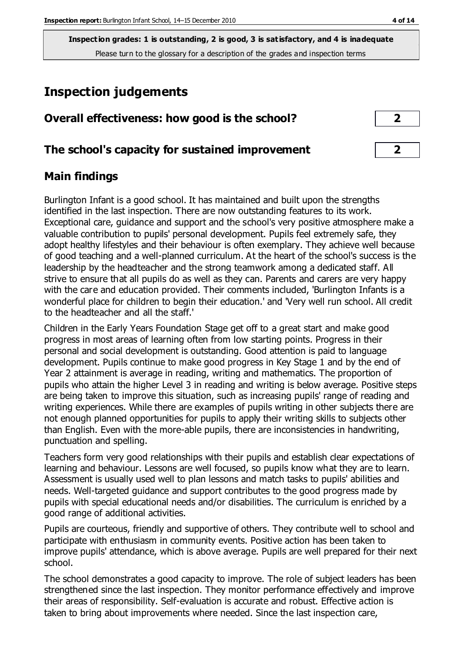# **Inspection judgements**

| Overall effectiveness: how good is the school? |  |
|------------------------------------------------|--|
|------------------------------------------------|--|

## **The school's capacity for sustained improvement 2**

## **Main findings**

Burlington Infant is a good school. It has maintained and built upon the strengths identified in the last inspection. There are now outstanding features to its work. Exceptional care, guidance and support and the school's very positive atmosphere make a valuable contribution to pupils' personal development. Pupils feel extremely safe, they adopt healthy lifestyles and their behaviour is often exemplary. They achieve well because of good teaching and a well-planned curriculum. At the heart of the school's success is the leadership by the headteacher and the strong teamwork among a dedicated staff. All strive to ensure that all pupils do as well as they can. Parents and carers are very happy with the care and education provided. Their comments included, 'Burlington Infants is a wonderful place for children to begin their education.' and 'Very well run school. All credit to the headteacher and all the staff.'

Children in the Early Years Foundation Stage get off to a great start and make good progress in most areas of learning often from low starting points. Progress in their personal and social development is outstanding. Good attention is paid to language development. Pupils continue to make good progress in Key Stage 1 and by the end of Year 2 attainment is average in reading, writing and mathematics. The proportion of pupils who attain the higher Level 3 in reading and writing is below average. Positive steps are being taken to improve this situation, such as increasing pupils' range of reading and writing experiences. While there are examples of pupils writing in other subjects there are not enough planned opportunities for pupils to apply their writing skills to subjects other than English. Even with the more-able pupils, there are inconsistencies in handwriting, punctuation and spelling.

Teachers form very good relationships with their pupils and establish clear expectations of learning and behaviour. Lessons are well focused, so pupils know what they are to learn. Assessment is usually used well to plan lessons and match tasks to pupils' abilities and needs. Well-targeted guidance and support contributes to the good progress made by pupils with special educational needs and/or disabilities. The curriculum is enriched by a good range of additional activities.

Pupils are courteous, friendly and supportive of others. They contribute well to school and participate with enthusiasm in community events. Positive action has been taken to improve pupils' attendance, which is above average. Pupils are well prepared for their next school.

The school demonstrates a good capacity to improve. The role of subject leaders has been strengthened since the last inspection. They monitor performance effectively and improve their areas of responsibility. Self-evaluation is accurate and robust. Effective action is taken to bring about improvements where needed. Since the last inspection care,

| ノ |  |
|---|--|
|   |  |
| 2 |  |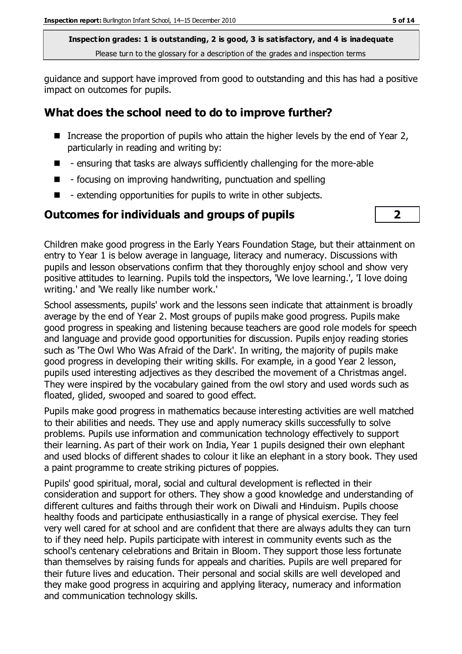guidance and support have improved from good to outstanding and this has had a positive impact on outcomes for pupils.

## **What does the school need to do to improve further?**

- Increase the proportion of pupils who attain the higher levels by the end of Year 2, particularly in reading and writing by:
- $\blacksquare$  ensuring that tasks are always sufficiently challenging for the more-able
- $\blacksquare$  focusing on improving handwriting, punctuation and spelling
- $\blacksquare$  extending opportunities for pupils to write in other subjects.

## **Outcomes for individuals and groups of pupils 2**



Children make good progress in the Early Years Foundation Stage, but their attainment on entry to Year 1 is below average in language, literacy and numeracy. Discussions with pupils and lesson observations confirm that they thoroughly enjoy school and show very positive attitudes to learning. Pupils told the inspectors, 'We love learning.', 'I love doing writing.' and 'We really like number work.'

School assessments, pupils' work and the lessons seen indicate that attainment is broadly average by the end of Year 2. Most groups of pupils make good progress. Pupils make good progress in speaking and listening because teachers are good role models for speech and language and provide good opportunities for discussion. Pupils enjoy reading stories such as 'The Owl Who Was Afraid of the Dark'. In writing, the majority of pupils make good progress in developing their writing skills. For example, in a good Year 2 lesson, pupils used interesting adjectives as they described the movement of a Christmas angel. They were inspired by the vocabulary gained from the owl story and used words such as floated, glided, swooped and soared to good effect.

Pupils make good progress in mathematics because interesting activities are well matched to their abilities and needs. They use and apply numeracy skills successfully to solve problems. Pupils use information and communication technology effectively to support their learning. As part of their work on India, Year 1 pupils designed their own elephant and used blocks of different shades to colour it like an elephant in a story book. They used a paint programme to create striking pictures of poppies.

Pupils' good spiritual, moral, social and cultural development is reflected in their consideration and support for others. They show a good knowledge and understanding of different cultures and faiths through their work on Diwali and Hinduism. Pupils choose healthy foods and participate enthusiastically in a range of physical exercise. They feel very well cared for at school and are confident that there are always adults they can turn to if they need help. Pupils participate with interest in community events such as the school's centenary celebrations and Britain in Bloom. They support those less fortunate than themselves by raising funds for appeals and charities. Pupils are well prepared for their future lives and education. Their personal and social skills are well developed and they make good progress in acquiring and applying literacy, numeracy and information and communication technology skills.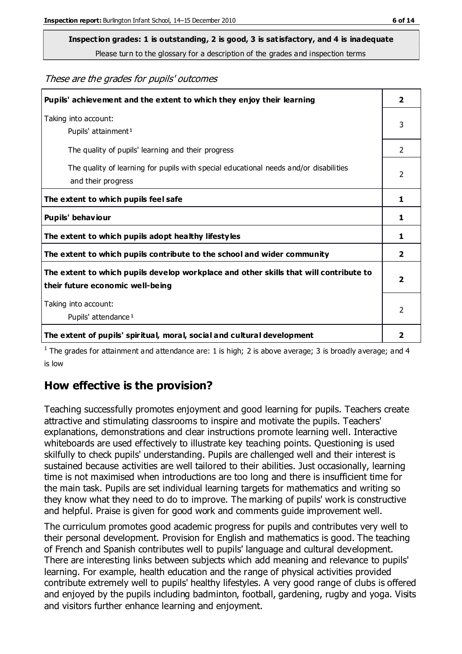These are the grades for pupils' outcomes

| Pupils' achievement and the extent to which they enjoy their learning                                                     | $\overline{2}$          |
|---------------------------------------------------------------------------------------------------------------------------|-------------------------|
| Taking into account:<br>Pupils' attainment <sup>1</sup>                                                                   | 3                       |
| The quality of pupils' learning and their progress                                                                        | $\mathfrak{D}$          |
| The quality of learning for pupils with special educational needs and/or disabilities<br>and their progress               | $\overline{2}$          |
| The extent to which pupils feel safe                                                                                      | 1                       |
| Pupils' behaviour                                                                                                         | 1                       |
| The extent to which pupils adopt healthy lifestyles                                                                       | 1                       |
| The extent to which pupils contribute to the school and wider community                                                   | $\mathbf{z}$            |
| The extent to which pupils develop workplace and other skills that will contribute to<br>their future economic well-being | $\overline{\mathbf{2}}$ |
| Taking into account:<br>Pupils' attendance <sup>1</sup>                                                                   | $\mathfrak{p}$          |
| The extent of pupils' spiritual, moral, social and cultural development                                                   | 2                       |

<sup>1</sup> The grades for attainment and attendance are: 1 is high; 2 is above average; 3 is broadly average; and 4 is low

#### **How effective is the provision?**

Teaching successfully promotes enjoyment and good learning for pupils. Teachers create attractive and stimulating classrooms to inspire and motivate the pupils. Teachers' explanations, demonstrations and clear instructions promote learning well. Interactive whiteboards are used effectively to illustrate key teaching points. Questioning is used skilfully to check pupils' understanding. Pupils are challenged well and their interest is sustained because activities are well tailored to their abilities. Just occasionally, learning time is not maximised when introductions are too long and there is insufficient time for the main task. Pupils are set individual learning targets for mathematics and writing so they know what they need to do to improve. The marking of pupils' work is constructive and helpful. Praise is given for good work and comments guide improvement well.

The curriculum promotes good academic progress for pupils and contributes very well to their personal development. Provision for English and mathematics is good. The teaching of French and Spanish contributes well to pupils' language and cultural development. There are interesting links between subjects which add meaning and relevance to pupils' learning. For example, health education and the range of physical activities provided contribute extremely well to pupils' healthy lifestyles. A very good range of clubs is offered and enjoyed by the pupils including badminton, football, gardening, rugby and yoga. Visits and visitors further enhance learning and enjoyment.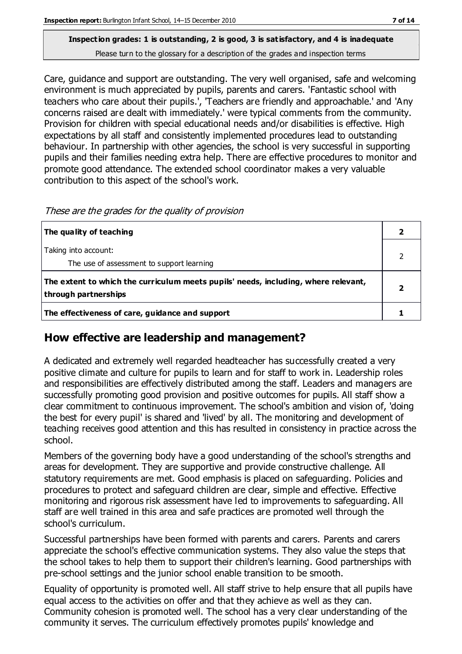Care, guidance and support are outstanding. The very well organised, safe and welcoming environment is much appreciated by pupils, parents and carers. 'Fantastic school with teachers who care about their pupils.', 'Teachers are friendly and approachable.' and 'Any concerns raised are dealt with immediately.' were typical comments from the community. Provision for children with special educational needs and/or disabilities is effective. High expectations by all staff and consistently implemented procedures lead to outstanding behaviour. In partnership with other agencies, the school is very successful in supporting pupils and their families needing extra help. There are effective procedures to monitor and promote good attendance. The extended school coordinator makes a very valuable contribution to this aspect of the school's work.

| The quality of teaching                                                                                    |  |
|------------------------------------------------------------------------------------------------------------|--|
| Taking into account:<br>The use of assessment to support learning                                          |  |
| The extent to which the curriculum meets pupils' needs, including, where relevant,<br>through partnerships |  |
| The effectiveness of care, guidance and support                                                            |  |

These are the grades for the quality of provision

## **How effective are leadership and management?**

A dedicated and extremely well regarded headteacher has successfully created a very positive climate and culture for pupils to learn and for staff to work in. Leadership roles and responsibilities are effectively distributed among the staff. Leaders and managers are successfully promoting good provision and positive outcomes for pupils. All staff show a clear commitment to continuous improvement. The school's ambition and vision of, 'doing the best for every pupil' is shared and 'lived' by all. The monitoring and development of teaching receives good attention and this has resulted in consistency in practice across the school.

Members of the governing body have a good understanding of the school's strengths and areas for development. They are supportive and provide constructive challenge. All statutory requirements are met. Good emphasis is placed on safeguarding. Policies and procedures to protect and safeguard children are clear, simple and effective. Effective monitoring and rigorous risk assessment have led to improvements to safeguarding. All staff are well trained in this area and safe practices are promoted well through the school's curriculum.

Successful partnerships have been formed with parents and carers. Parents and carers appreciate the school's effective communication systems. They also value the steps that the school takes to help them to support their children's learning. Good partnerships with pre-school settings and the junior school enable transition to be smooth.

Equality of opportunity is promoted well. All staff strive to help ensure that all pupils have equal access to the activities on offer and that they achieve as well as they can. Community cohesion is promoted well. The school has a very clear understanding of the community it serves. The curriculum effectively promotes pupils' knowledge and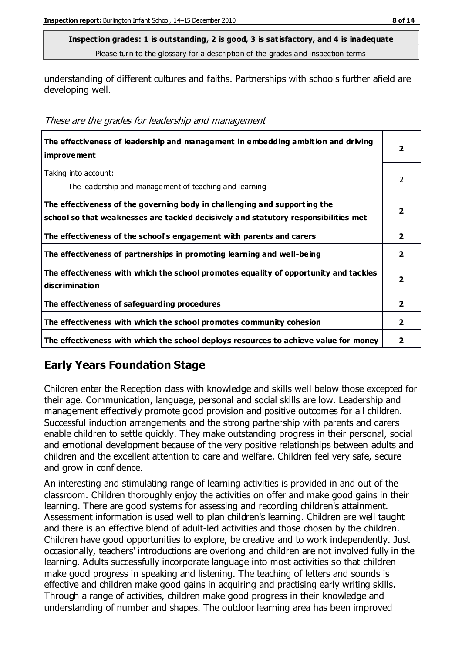understanding of different cultures and faiths. Partnerships with schools further afield are developing well.

| The effectiveness of leadership and management in embedding ambition and driving<br><i>improvement</i>                                                           | 2              |
|------------------------------------------------------------------------------------------------------------------------------------------------------------------|----------------|
| Taking into account:<br>The leadership and management of teaching and learning                                                                                   | 2              |
| The effectiveness of the governing body in challenging and supporting the<br>school so that weaknesses are tackled decisively and statutory responsibilities met |                |
| The effectiveness of the school's engagement with parents and carers                                                                                             | 2              |
| The effectiveness of partnerships in promoting learning and well-being                                                                                           | $\overline{2}$ |
| The effectiveness with which the school promotes equality of opportunity and tackles<br>discrimination                                                           | $\overline{2}$ |
| The effectiveness of safeguarding procedures                                                                                                                     | $\overline{2}$ |
| The effectiveness with which the school promotes community cohesion                                                                                              | 2              |
| The effectiveness with which the school deploys resources to achieve value for money                                                                             | 2              |

## **Early Years Foundation Stage**

Children enter the Reception class with knowledge and skills well below those excepted for their age. Communication, language, personal and social skills are low. Leadership and management effectively promote good provision and positive outcomes for all children. Successful induction arrangements and the strong partnership with parents and carers enable children to settle quickly. They make outstanding progress in their personal, social and emotional development because of the very positive relationships between adults and children and the excellent attention to care and welfare. Children feel very safe, secure and grow in confidence.

An interesting and stimulating range of learning activities is provided in and out of the classroom. Children thoroughly enjoy the activities on offer and make good gains in their learning. There are good systems for assessing and recording children's attainment. Assessment information is used well to plan children's learning. Children are well taught and there is an effective blend of adult-led activities and those chosen by the children. Children have good opportunities to explore, be creative and to work independently. Just occasionally, teachers' introductions are overlong and children are not involved fully in the learning. Adults successfully incorporate language into most activities so that children make good progress in speaking and listening. The teaching of letters and sounds is effective and children make good gains in acquiring and practising early writing skills. Through a range of activities, children make good progress in their knowledge and understanding of number and shapes. The outdoor learning area has been improved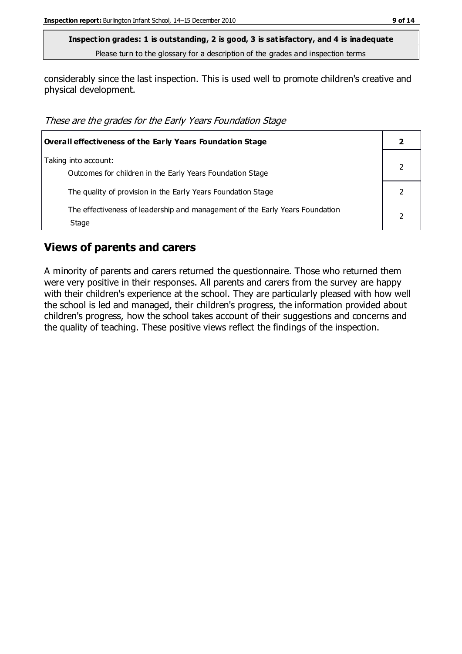considerably since the last inspection. This is used well to promote children's creative and physical development.

These are the grades for the Early Years Foundation Stage

| <b>Overall effectiveness of the Early Years Foundation Stage</b>                      |  |
|---------------------------------------------------------------------------------------|--|
| Taking into account:<br>Outcomes for children in the Early Years Foundation Stage     |  |
| The quality of provision in the Early Years Foundation Stage                          |  |
| The effectiveness of leadership and management of the Early Years Foundation<br>Stage |  |

#### **Views of parents and carers**

A minority of parents and carers returned the questionnaire. Those who returned them were very positive in their responses. All parents and carers from the survey are happy with their children's experience at the school. They are particularly pleased with how well the school is led and managed, their children's progress, the information provided about children's progress, how the school takes account of their suggestions and concerns and the quality of teaching. These positive views reflect the findings of the inspection.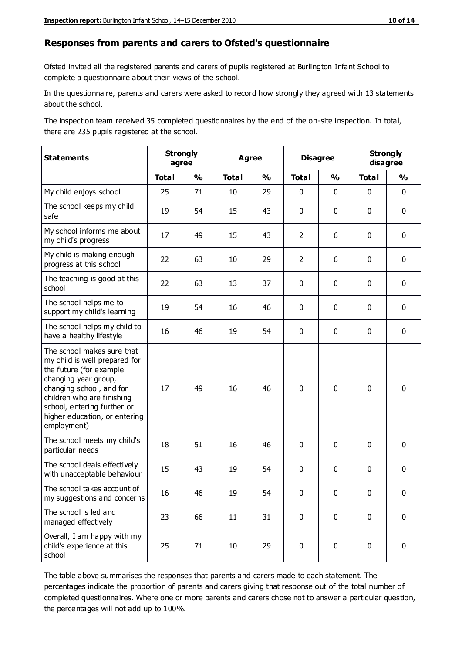#### **Responses from parents and carers to Ofsted's questionnaire**

Ofsted invited all the registered parents and carers of pupils registered at Burlington Infant School to complete a questionnaire about their views of the school.

In the questionnaire, parents and carers were asked to record how strongly they agreed with 13 statements about the school.

The inspection team received 35 completed questionnaires by the end of the on-site inspection. In total, there are 235 pupils registered at the school.

| <b>Statements</b>                                                                                                                                                                                                                                       |              | <b>Strongly</b><br>agree | <b>Disagree</b><br><b>Agree</b> |               | <b>Strongly</b><br>disagree |               |              |               |
|---------------------------------------------------------------------------------------------------------------------------------------------------------------------------------------------------------------------------------------------------------|--------------|--------------------------|---------------------------------|---------------|-----------------------------|---------------|--------------|---------------|
|                                                                                                                                                                                                                                                         | <b>Total</b> | $\frac{1}{2}$            | <b>Total</b>                    | $\frac{1}{2}$ | <b>Total</b>                | $\frac{0}{0}$ | <b>Total</b> | $\frac{0}{0}$ |
| My child enjoys school                                                                                                                                                                                                                                  | 25           | 71                       | 10                              | 29            | 0                           | $\mathbf 0$   | $\mathbf 0$  | $\mathbf 0$   |
| The school keeps my child<br>safe                                                                                                                                                                                                                       | 19           | 54                       | 15                              | 43            | 0                           | $\mathbf 0$   | $\mathbf 0$  | $\mathbf 0$   |
| My school informs me about<br>my child's progress                                                                                                                                                                                                       | 17           | 49                       | 15                              | 43            | $\overline{2}$              | 6             | $\mathbf 0$  | $\mathbf 0$   |
| My child is making enough<br>progress at this school                                                                                                                                                                                                    | 22           | 63                       | 10                              | 29            | $\overline{2}$              | 6             | $\mathbf 0$  | $\mathbf 0$   |
| The teaching is good at this<br>school                                                                                                                                                                                                                  | 22           | 63                       | 13                              | 37            | 0                           | $\mathbf 0$   | 0            | $\mathbf 0$   |
| The school helps me to<br>support my child's learning                                                                                                                                                                                                   | 19           | 54                       | 16                              | 46            | 0                           | $\mathbf{0}$  | $\mathbf 0$  | $\mathbf 0$   |
| The school helps my child to<br>have a healthy lifestyle                                                                                                                                                                                                | 16           | 46                       | 19                              | 54            | 0                           | $\mathbf 0$   | $\mathbf 0$  | $\mathbf 0$   |
| The school makes sure that<br>my child is well prepared for<br>the future (for example<br>changing year group,<br>changing school, and for<br>children who are finishing<br>school, entering further or<br>higher education, or entering<br>employment) | 17           | 49                       | 16                              | 46            | $\mathbf 0$                 | $\mathbf 0$   | $\mathbf 0$  | $\mathbf 0$   |
| The school meets my child's<br>particular needs                                                                                                                                                                                                         | 18           | 51                       | 16                              | 46            | 0                           | $\mathbf 0$   | $\mathbf 0$  | $\mathbf 0$   |
| The school deals effectively<br>with unacceptable behaviour                                                                                                                                                                                             | 15           | 43                       | 19                              | 54            | 0                           | $\mathbf 0$   | $\mathbf 0$  | $\mathbf 0$   |
| The school takes account of<br>my suggestions and concerns                                                                                                                                                                                              | 16           | 46                       | 19                              | 54            | $\mathbf{0}$                | $\mathbf{0}$  | $\mathbf 0$  | $\mathbf{0}$  |
| The school is led and<br>managed effectively                                                                                                                                                                                                            | 23           | 66                       | 11                              | 31            | $\pmb{0}$                   | $\mathbf 0$   | $\mathbf 0$  | $\mathbf 0$   |
| Overall, I am happy with my<br>child's experience at this<br>school                                                                                                                                                                                     | 25           | 71                       | 10                              | 29            | $\pmb{0}$                   | $\mathbf 0$   | $\mathbf 0$  | $\pmb{0}$     |

The table above summarises the responses that parents and carers made to each statement. The percentages indicate the proportion of parents and carers giving that response out of the total number of completed questionnaires. Where one or more parents and carers chose not to answer a particular question, the percentages will not add up to 100%.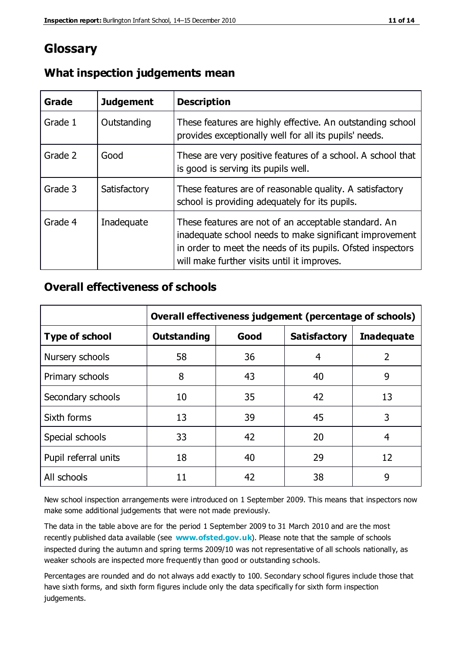## **Glossary**

| Grade   | <b>Judgement</b> | <b>Description</b>                                                                                                                                                                                                            |
|---------|------------------|-------------------------------------------------------------------------------------------------------------------------------------------------------------------------------------------------------------------------------|
| Grade 1 | Outstanding      | These features are highly effective. An outstanding school<br>provides exceptionally well for all its pupils' needs.                                                                                                          |
| Grade 2 | Good             | These are very positive features of a school. A school that<br>is good is serving its pupils well.                                                                                                                            |
| Grade 3 | Satisfactory     | These features are of reasonable quality. A satisfactory<br>school is providing adequately for its pupils.                                                                                                                    |
| Grade 4 | Inadequate       | These features are not of an acceptable standard. An<br>inadequate school needs to make significant improvement<br>in order to meet the needs of its pupils. Ofsted inspectors<br>will make further visits until it improves. |

#### **What inspection judgements mean**

## **Overall effectiveness of schools**

|                       | Overall effectiveness judgement (percentage of schools) |      |                     |                   |  |
|-----------------------|---------------------------------------------------------|------|---------------------|-------------------|--|
| <b>Type of school</b> | <b>Outstanding</b>                                      | Good | <b>Satisfactory</b> | <b>Inadequate</b> |  |
| Nursery schools       | 58                                                      | 36   | 4                   | 2                 |  |
| Primary schools       | 8                                                       | 43   | 40                  | 9                 |  |
| Secondary schools     | 10                                                      | 35   | 42                  | 13                |  |
| Sixth forms           | 13                                                      | 39   | 45                  | 3                 |  |
| Special schools       | 33                                                      | 42   | 20                  | 4                 |  |
| Pupil referral units  | 18                                                      | 40   | 29                  | 12                |  |
| All schools           | 11                                                      | 42   | 38                  | 9                 |  |

New school inspection arrangements were introduced on 1 September 2009. This means that inspectors now make some additional judgements that were not made previously.

The data in the table above are for the period 1 September 2009 to 31 March 2010 and are the most recently published data available (see **[www.ofsted.gov.uk](http://www.ofsted.gov.uk/)**). Please note that the sample of schools inspected during the autumn and spring terms 2009/10 was not representative of all schools nationally, as weaker schools are inspected more frequently than good or outstanding schools.

Percentages are rounded and do not always add exactly to 100. Secondary school figures include those that have sixth forms, and sixth form figures include only the data specifically for sixth form inspection judgements.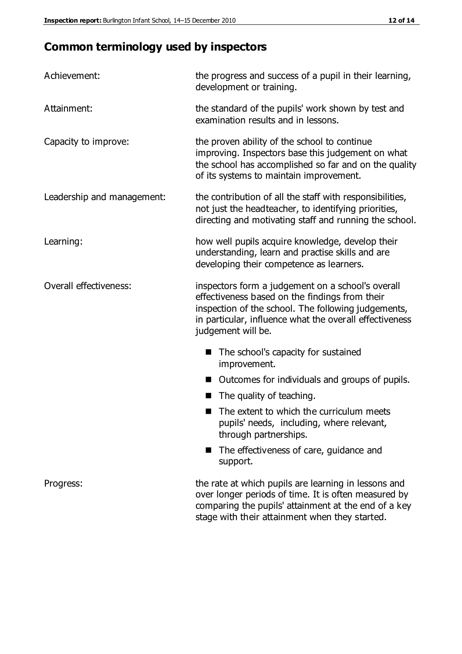# **Common terminology used by inspectors**

| Achievement:                  | the progress and success of a pupil in their learning,<br>development or training.                                                                                                                                                          |
|-------------------------------|---------------------------------------------------------------------------------------------------------------------------------------------------------------------------------------------------------------------------------------------|
| Attainment:                   | the standard of the pupils' work shown by test and<br>examination results and in lessons.                                                                                                                                                   |
| Capacity to improve:          | the proven ability of the school to continue<br>improving. Inspectors base this judgement on what<br>the school has accomplished so far and on the quality<br>of its systems to maintain improvement.                                       |
| Leadership and management:    | the contribution of all the staff with responsibilities,<br>not just the headteacher, to identifying priorities,<br>directing and motivating staff and running the school.                                                                  |
| Learning:                     | how well pupils acquire knowledge, develop their<br>understanding, learn and practise skills and are<br>developing their competence as learners.                                                                                            |
| <b>Overall effectiveness:</b> | inspectors form a judgement on a school's overall<br>effectiveness based on the findings from their<br>inspection of the school. The following judgements,<br>in particular, influence what the overall effectiveness<br>judgement will be. |
|                               | The school's capacity for sustained<br>improvement.                                                                                                                                                                                         |
|                               | Outcomes for individuals and groups of pupils.                                                                                                                                                                                              |
|                               | The quality of teaching.                                                                                                                                                                                                                    |
|                               | The extent to which the curriculum meets<br>pupils' needs, including, where relevant,<br>through partnerships.                                                                                                                              |
|                               | The effectiveness of care, guidance and<br>support.                                                                                                                                                                                         |
| Progress:                     | the rate at which pupils are learning in lessons and<br>over longer periods of time. It is often measured by<br>comparing the pupils' attainment at the end of a key                                                                        |

stage with their attainment when they started.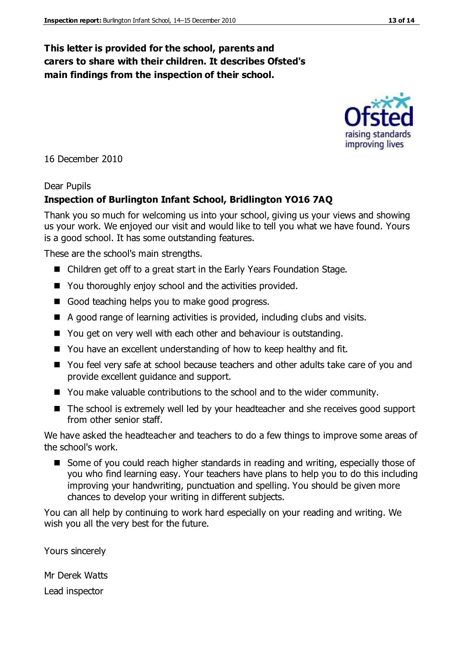#### **This letter is provided for the school, parents and carers to share with their children. It describes Ofsted's main findings from the inspection of their school.**

16 December 2010

#### Dear Pupils

#### **Inspection of Burlington Infant School, Bridlington YO16 7AQ**

Thank you so much for welcoming us into your school, giving us your views and showing us your work. We enjoyed our visit and would like to tell you what we have found. Yours is a good school. It has some outstanding features.

These are the school's main strengths.

- Children get off to a great start in the Early Years Foundation Stage.
- You thoroughly enjoy school and the activities provided.
- Good teaching helps you to make good progress.
- A good range of learning activities is provided, including clubs and visits.
- You get on very well with each other and behaviour is outstanding.
- You have an excellent understanding of how to keep healthy and fit.
- You feel very safe at school because teachers and other adults take care of you and provide excellent guidance and support.
- You make valuable contributions to the school and to the wider community.
- The school is extremely well led by your headteacher and she receives good support from other senior staff.

We have asked the headteacher and teachers to do a few things to improve some areas of the school's work.

Some of you could reach higher standards in reading and writing, especially those of you who find learning easy. Your teachers have plans to help you to do this including improving your handwriting, punctuation and spelling. You should be given more chances to develop your writing in different subjects.

You can all help by continuing to work hard especially on your reading and writing. We wish you all the very best for the future.

Yours sincerely

Mr Derek Watts

Lead inspector